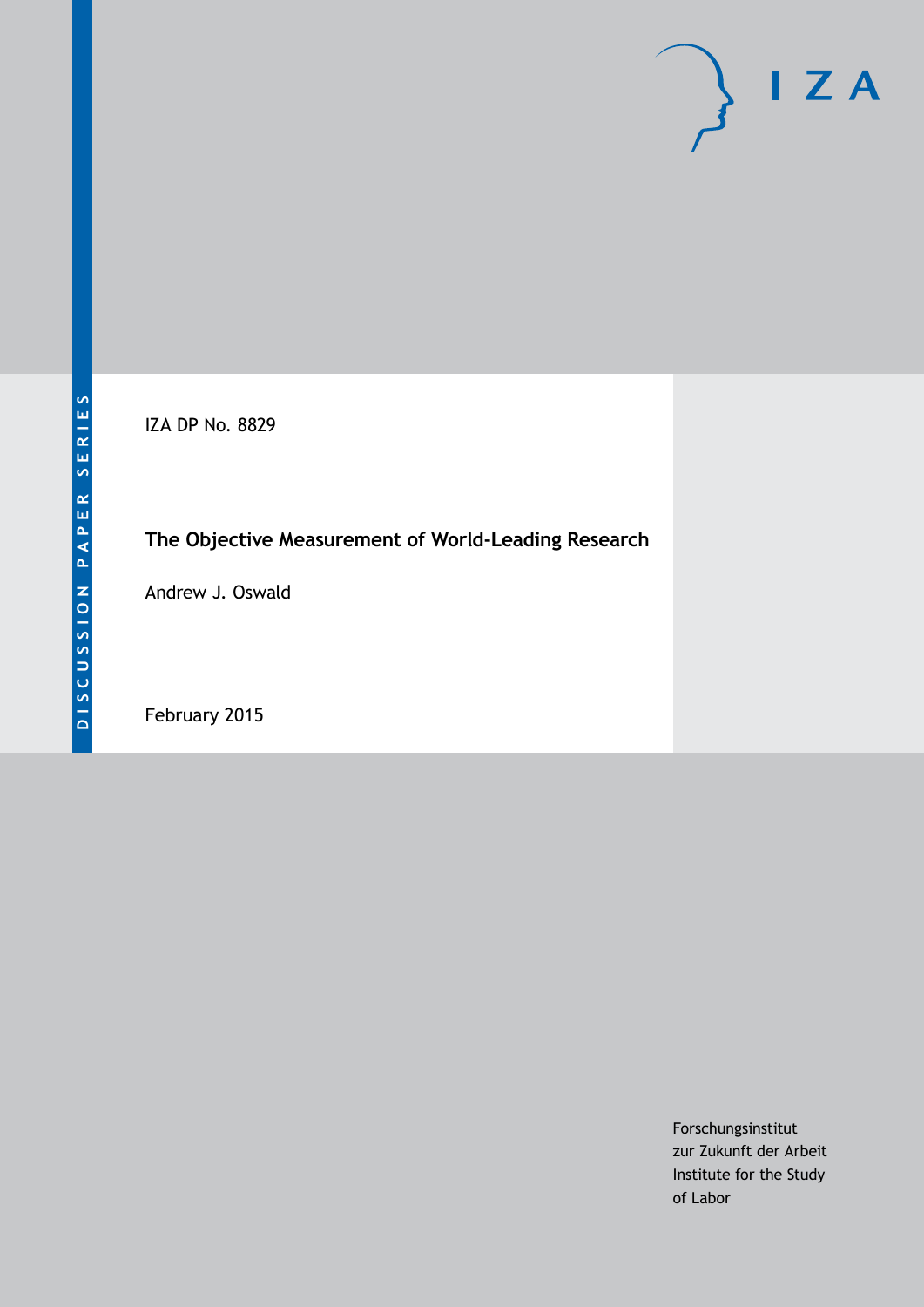# $\mathsf{I}$  Z A

IZA DP No. 8829

# **The Objective Measurement of World-Leading Research**

Andrew J. Oswald

February 2015

Forschungsinstitut zur Zukunft der Arbeit Institute for the Study of Labor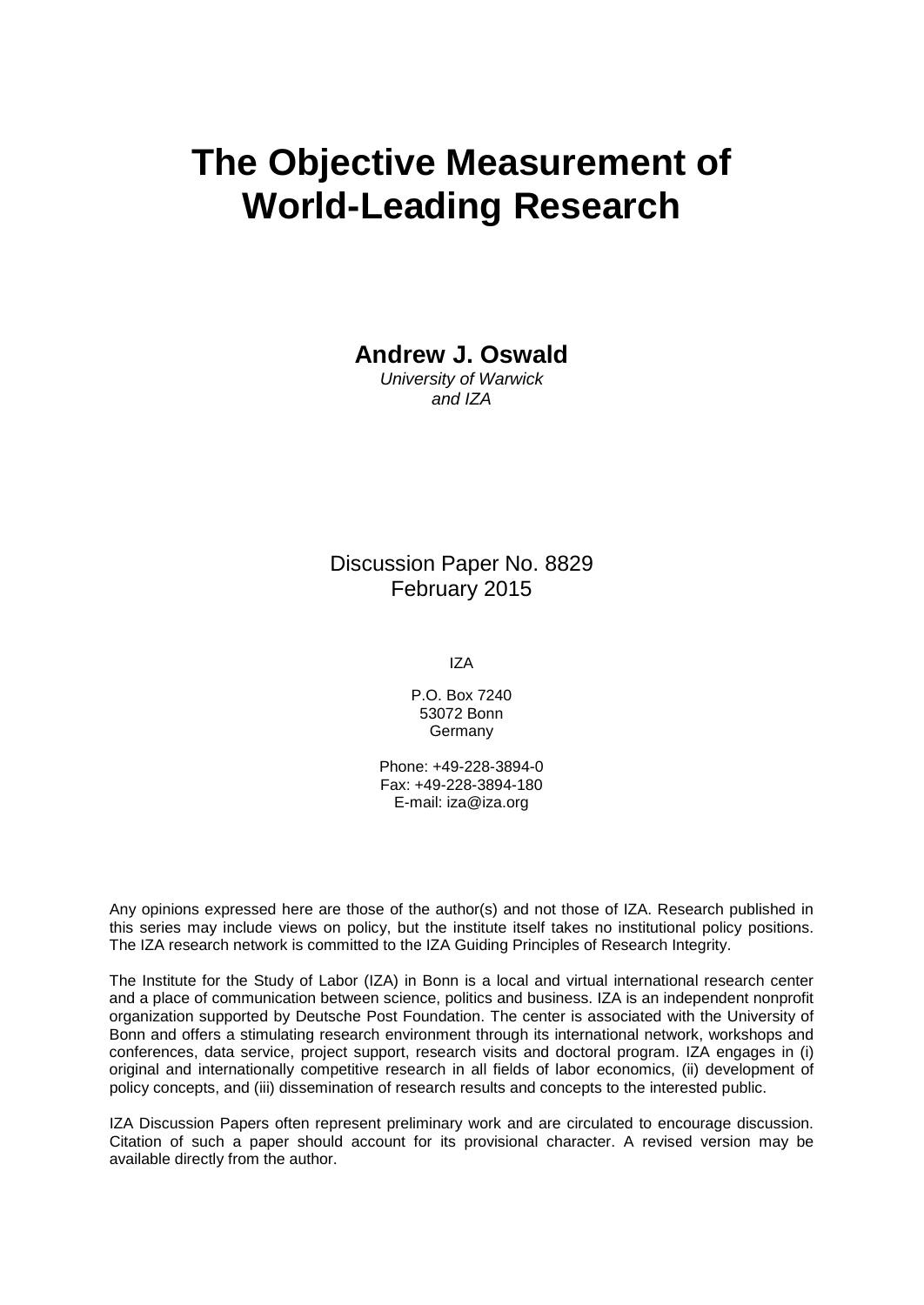# **The Objective Measurement of World-Leading Research**

**Andrew J. Oswald**

*University of Warwick and IZA*

# Discussion Paper No. 8829 February 2015

IZA

P.O. Box 7240 53072 Bonn Germany

Phone: +49-228-3894-0 Fax: +49-228-3894-180 E-mail: [iza@iza.org](mailto:iza@iza.org)

Any opinions expressed here are those of the author(s) and not those of IZA. Research published in this series may include views on policy, but the institute itself takes no institutional policy positions. The IZA research network is committed to the IZA Guiding Principles of Research Integrity.

The Institute for the Study of Labor (IZA) in Bonn is a local and virtual international research center and a place of communication between science, politics and business. IZA is an independent nonprofit organization supported by Deutsche Post Foundation. The center is associated with the University of Bonn and offers a stimulating research environment through its international network, workshops and conferences, data service, project support, research visits and doctoral program. IZA engages in (i) original and internationally competitive research in all fields of labor economics, (ii) development of policy concepts, and (iii) dissemination of research results and concepts to the interested public.

<span id="page-1-0"></span>IZA Discussion Papers often represent preliminary work and are circulated to encourage discussion. Citation of such a paper should account for its provisional character. A revised version may be available directly from the author.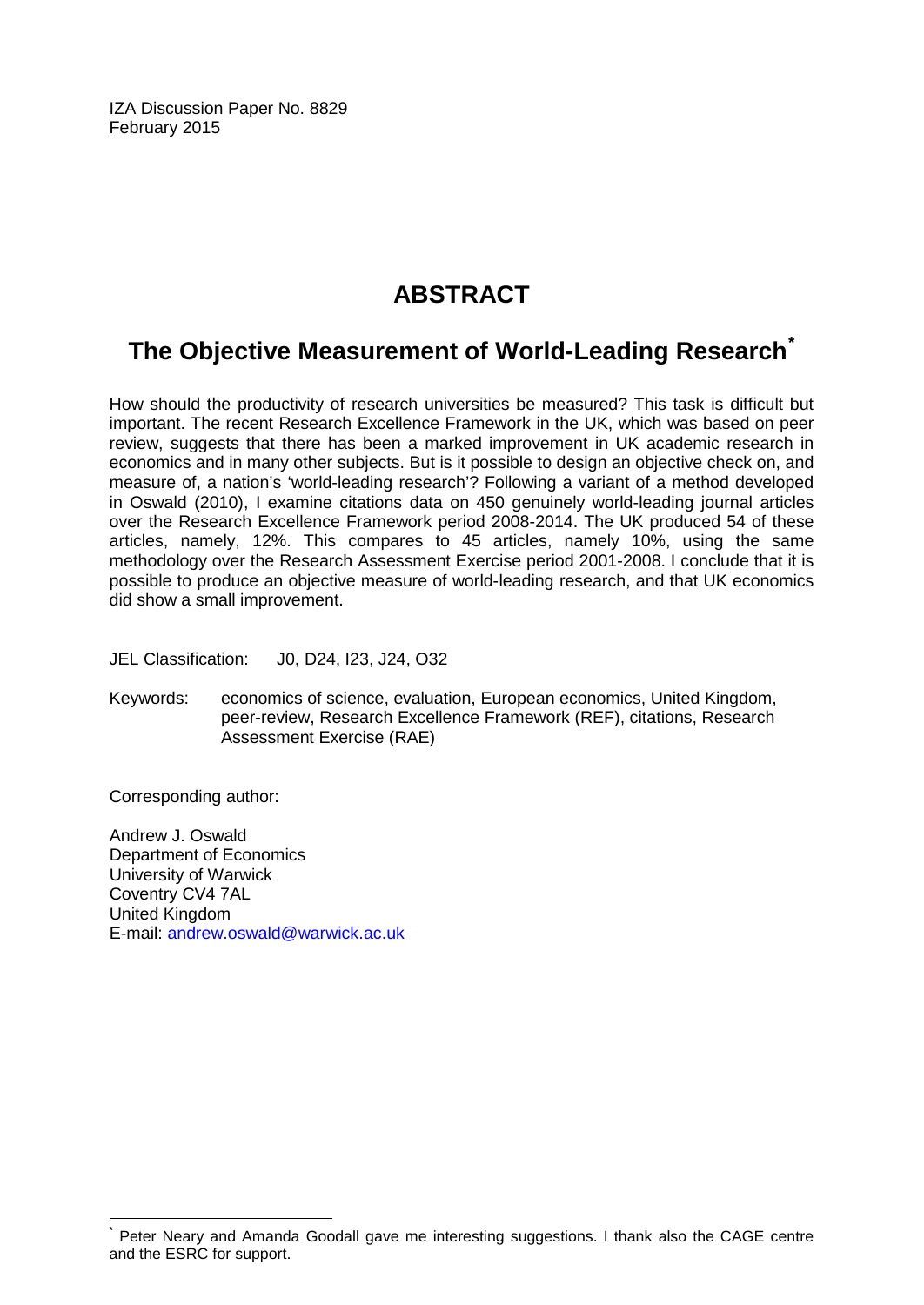IZA Discussion Paper No. 8829 February 2015

# **ABSTRACT**

# **The Objective Measurement of World-Leading Research[\\*](#page-1-0)**

How should the productivity of research universities be measured? This task is difficult but important. The recent Research Excellence Framework in the UK, which was based on peer review, suggests that there has been a marked improvement in UK academic research in economics and in many other subjects. But is it possible to design an objective check on, and measure of, a nation's 'world-leading research'? Following a variant of a method developed in Oswald (2010), I examine citations data on 450 genuinely world-leading journal articles over the Research Excellence Framework period 2008-2014. The UK produced 54 of these articles, namely, 12%. This compares to 45 articles, namely 10%, using the same methodology over the Research Assessment Exercise period 2001-2008. I conclude that it is possible to produce an objective measure of world-leading research, and that UK economics did show a small improvement.

JEL Classification: J0, D24, I23, J24, O32

Keywords: economics of science, evaluation, European economics, United Kingdom, peer-review, Research Excellence Framework (REF), citations, Research Assessment Exercise (RAE)

Corresponding author:

Andrew J. Oswald Department of Economics University of Warwick Coventry CV4 7AL United Kingdom E-mail: [andrew.oswald@warwick.ac.uk](mailto:andrew.oswald@warwick.ac.uk)

Peter Neary and Amanda Goodall gave me interesting suggestions. I thank also the CAGE centre and the ESRC for support.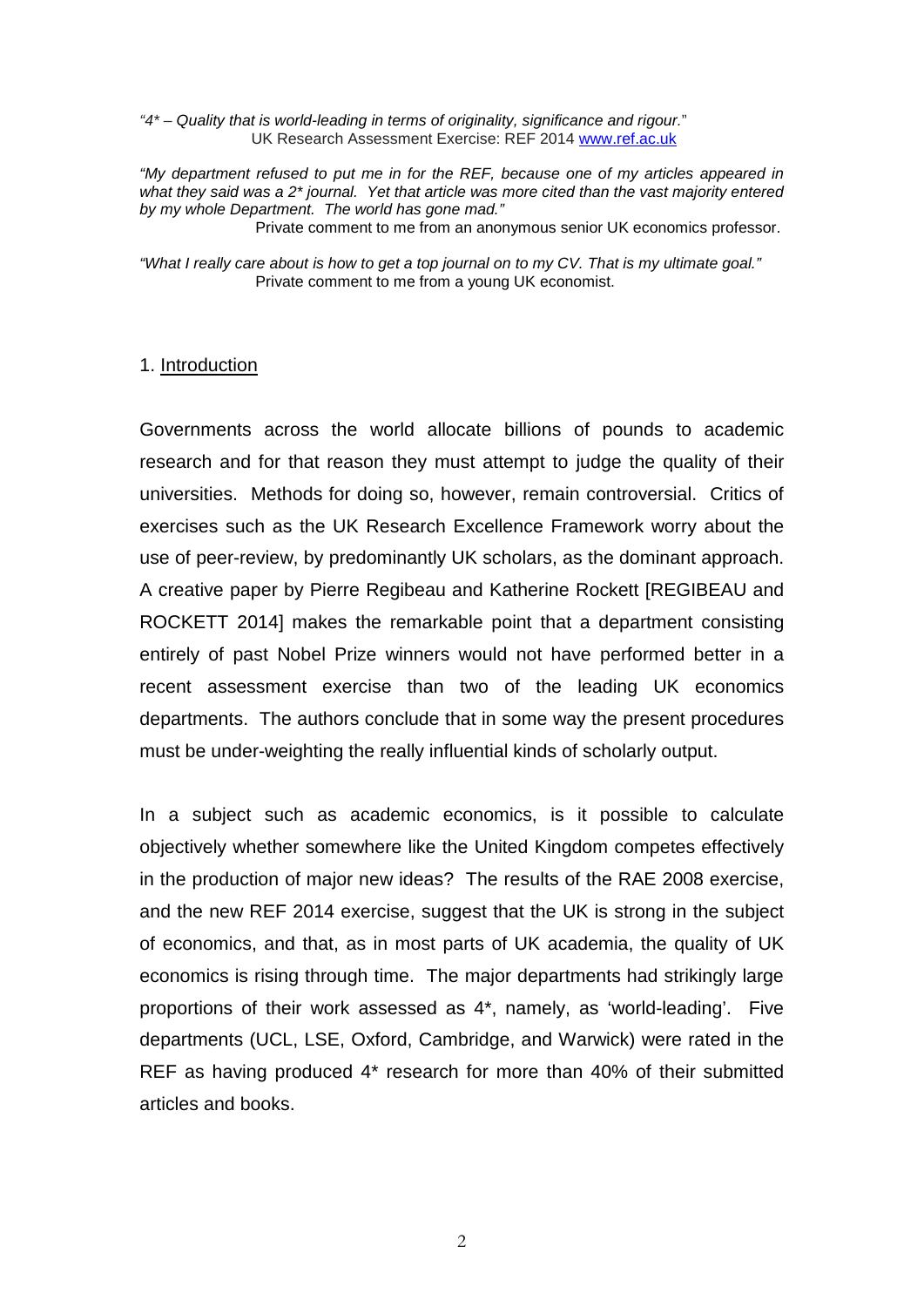*"4\* – Quality that is world-leading in terms of originality, significance and rigour.*" UK Research Assessment Exercise: REF 2014 [www.ref.ac.uk](http://www.ref.ac.uk/)

*"My department refused to put me in for the REF, because one of my articles appeared in what they said was a 2\* journal. Yet that article was more cited than the vast majority entered by my whole Department. The world has gone mad."* 

Private comment to me from an anonymous senior UK economics professor.

*"What I really care about is how to get a top journal on to my CV. That is my ultimate goal."*  Private comment to me from a young UK economist.

#### 1. Introduction

Governments across the world allocate billions of pounds to academic research and for that reason they must attempt to judge the quality of their universities. Methods for doing so, however, remain controversial. Critics of exercises such as the UK Research Excellence Framework worry about the use of peer-review, by predominantly UK scholars, as the dominant approach. A creative paper by Pierre Regibeau and Katherine Rockett [REGIBEAU and ROCKETT 2014] makes the remarkable point that a department consisting entirely of past Nobel Prize winners would not have performed better in a recent assessment exercise than two of the leading UK economics departments. The authors conclude that in some way the present procedures must be under-weighting the really influential kinds of scholarly output.

In a subject such as academic economics, is it possible to calculate objectively whether somewhere like the United Kingdom competes effectively in the production of major new ideas? The results of the RAE 2008 exercise, and the new REF 2014 exercise, suggest that the UK is strong in the subject of economics, and that, as in most parts of UK academia, the quality of UK economics is rising through time. The major departments had strikingly large proportions of their work assessed as 4\*, namely, as 'world-leading'. Five departments (UCL, LSE, Oxford, Cambridge, and Warwick) were rated in the REF as having produced 4\* research for more than 40% of their submitted articles and books.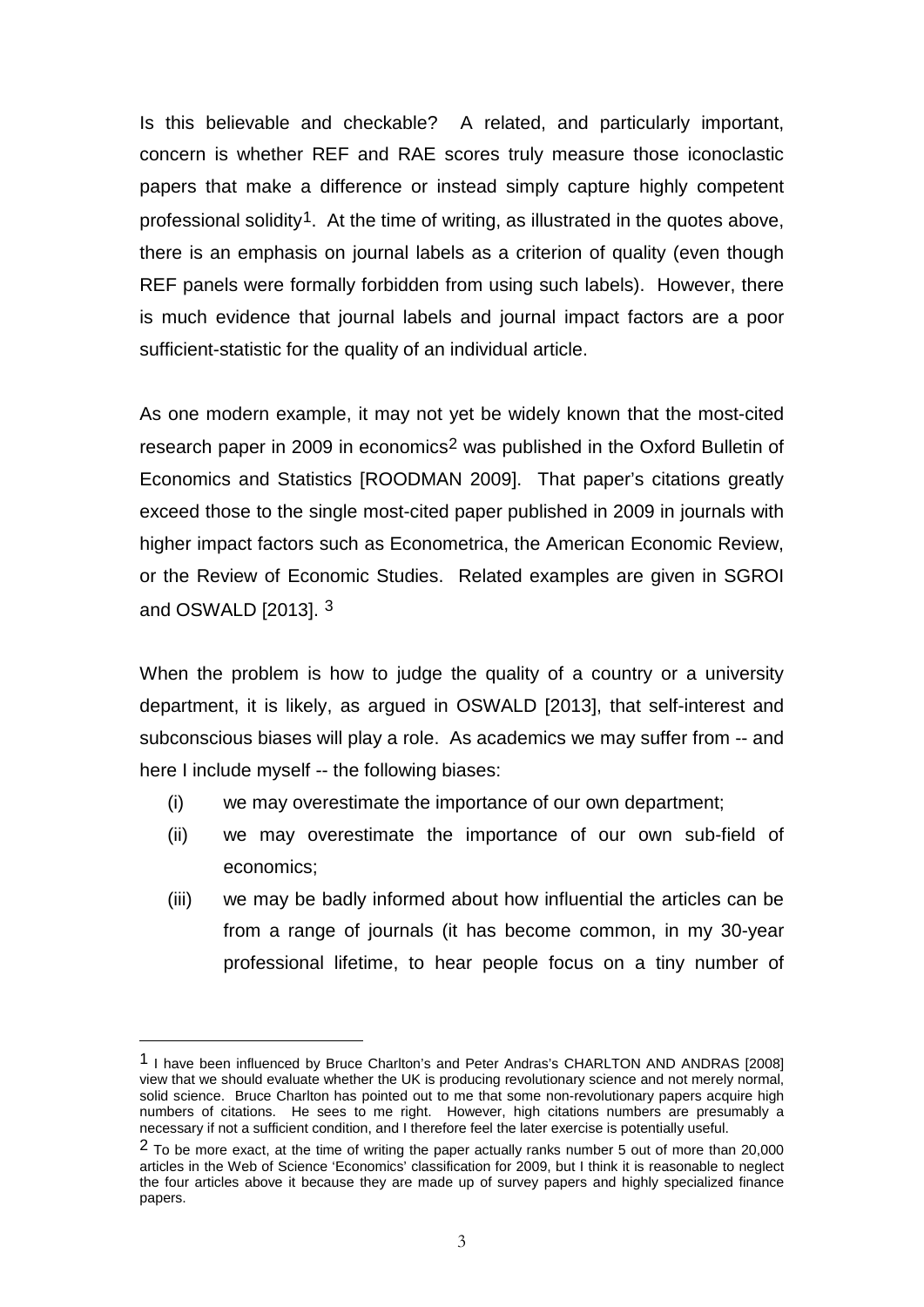Is this believable and checkable? A related, and particularly important, concern is whether REF and RAE scores truly measure those iconoclastic papers that make a difference or instead simply capture highly competent professional solidity<sup>1</sup>. At the time of writing, as illustrated in the quotes above, there is an emphasis on journal labels as a criterion of quality (even though REF panels were formally forbidden from using such labels). However, there is much evidence that journal labels and journal impact factors are a poor sufficient-statistic for the quality of an individual article.

As one modern example, it may not yet be widely known that the most-cited research paper in [2](#page-4-0)009 in economics<sup>2</sup> was published in the Oxford Bulletin of Economics and Statistics [ROODMAN 2009]. That paper's citations greatly exceed those to the single most-cited paper published in 2009 in journals with higher impact factors such as Econometrica, the American Economic Review, or the Review of Economic Studies. Related examples are given in SGROI and OSWALD [2013]. [3](#page-4-1)

When the problem is how to judge the quality of a country or a university department, it is likely, as argued in OSWALD [2013], that self-interest and subconscious biases will play a role. As academics we may suffer from -- and here I include myself -- the following biases:

- (i) we may overestimate the importance of our own department;
- (ii) we may overestimate the importance of our own sub-field of economics;
- (iii) we may be badly informed about how influential the articles can be from a range of journals (it has become common, in my 30-year professional lifetime, to hear people focus on a tiny number of

<span id="page-4-2"></span><span id="page-4-1"></span><sup>1</sup> I have been influenced by Bruce Charlton's and Peter Andras's CHARLTON AND ANDRAS [2008] view that we should evaluate whether the UK is producing revolutionary science and not merely normal, solid science. Bruce Charlton has pointed out to me that some non-revolutionary papers acquire high numbers of citations. He sees to me right. However, high citations numbers are presumably a necessary if not a sufficient condition, and I therefore feel the later exercise is potentially useful.

<span id="page-4-0"></span><sup>&</sup>lt;sup>2</sup> To be more exact, at the time of writing the paper actually ranks number 5 out of more than 20,000 articles in the Web of Science 'Economics' classification for 2009, but I think it is reasonable to neglect the four articles above it because they are made up of survey papers and highly specialized finance papers.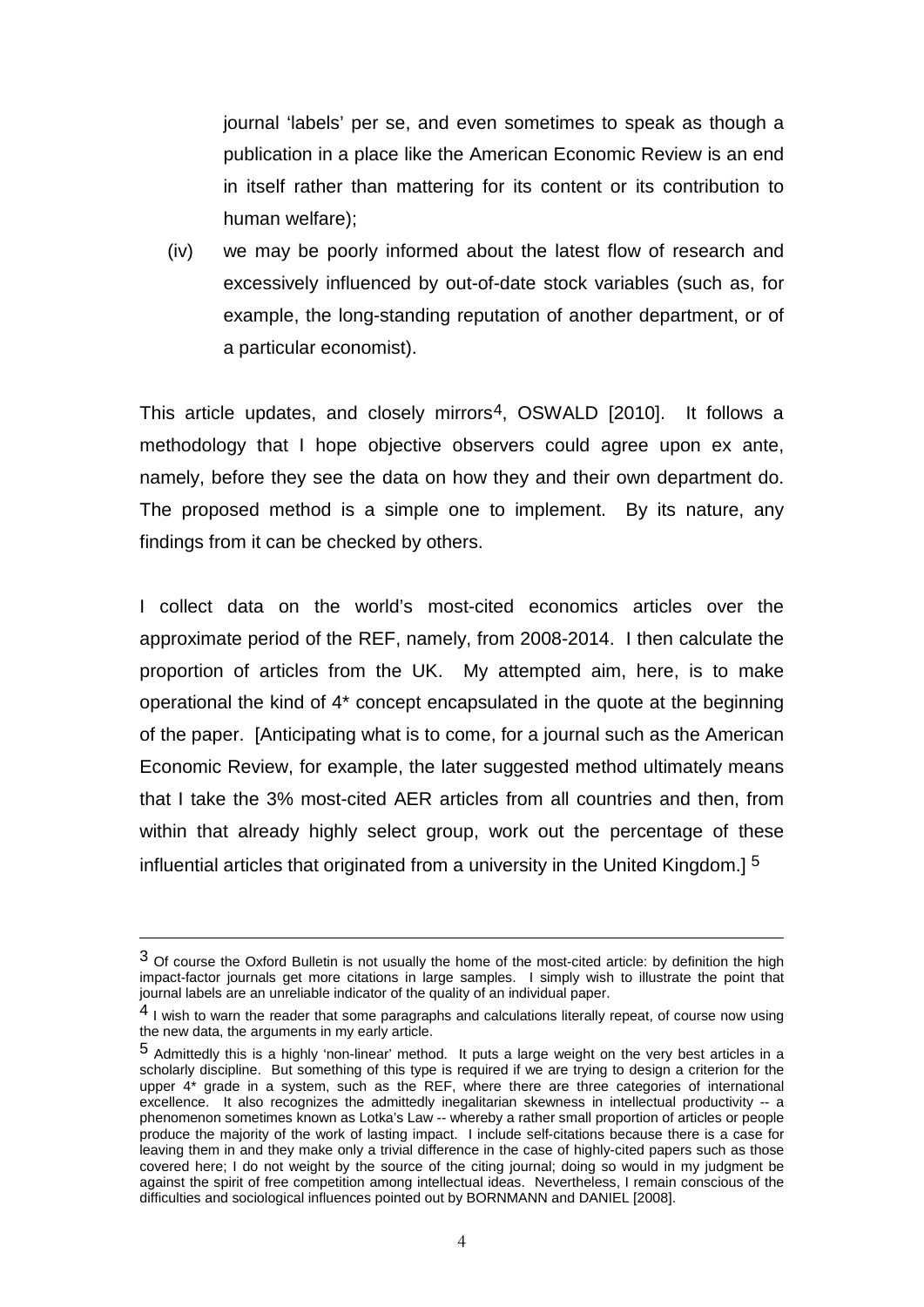journal 'labels' per se, and even sometimes to speak as though a publication in a place like the American Economic Review is an end in itself rather than mattering for its content or its contribution to human welfare);

(iv) we may be poorly informed about the latest flow of research and excessively influenced by out-of-date stock variables (such as, for example, the long-standing reputation of another department, or of a particular economist).

This article updates, and closely mirrors<sup>4</sup>, OSWALD [2010]. It follows a methodology that I hope objective observers could agree upon ex ante, namely, before they see the data on how they and their own department do. The proposed method is a simple one to implement. By its nature, any findings from it can be checked by others.

I collect data on the world's most-cited economics articles over the approximate period of the REF, namely, from 2008-2014. I then calculate the proportion of articles from the UK. My attempted aim, here, is to make operational the kind of 4\* concept encapsulated in the quote at the beginning of the paper. [Anticipating what is to come, for a journal such as the American Economic Review, for example, the later suggested method ultimately means that I take the 3% most-cited AER articles from all countries and then, from within that already highly select group, work out the percentage of these influential articles that originated from a university in the United Kingdom.] [5](#page-5-0) 

<sup>3</sup> Of course the Oxford Bulletin is not usually the home of the most-cited article: by definition the high impact-factor journals get more citations in large samples. I simply wish to illustrate the point that journal labels are an unreliable indicator of the quality of an individual paper.

<sup>&</sup>lt;sup>4</sup> I wish to warn the reader that some paragraphs and calculations literally repeat, of course now using the new data, the arguments in my early article.

<span id="page-5-1"></span><span id="page-5-0"></span><sup>5</sup> Admittedly this is a highly 'non-linear' method. It puts a large weight on the very best articles in a scholarly discipline. But something of this type is required if we are trying to design a criterion for the upper 4\* grade in a system, such as the REF, where there are three categories of international excellence. It also recognizes the admittedly inegalitarian skewness in intellectual productivity -- a phenomenon sometimes known as Lotka's Law -- whereby a rather small proportion of articles or people produce the majority of the work of lasting impact. I include self-citations because there is a case for leaving them in and they make only a trivial difference in the case of highly-cited papers such as those covered here; I do not weight by the source of the citing journal; doing so would in my judgment be against the spirit of free competition among intellectual ideas. Nevertheless, I remain conscious of the difficulties and sociological influences pointed out by BORNMANN and DANIEL [2008].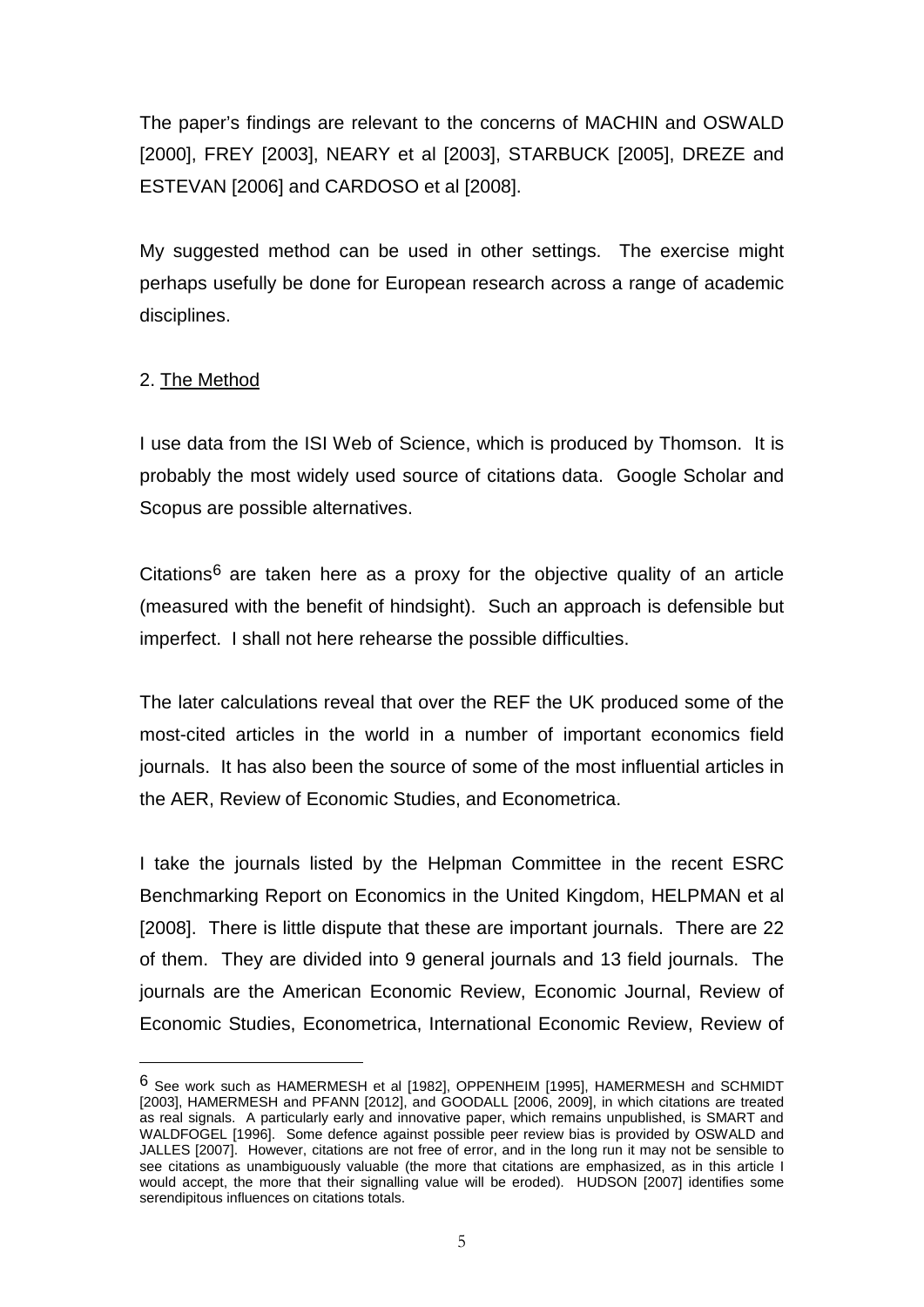The paper's findings are relevant to the concerns of MACHIN and OSWALD [2000], FREY [2003], NEARY et al [2003], STARBUCK [2005], DREZE and ESTEVAN [2006] and CARDOSO et al [2008].

My suggested method can be used in other settings. The exercise might perhaps usefully be done for European research across a range of academic disciplines.

# 2. The Method

<span id="page-6-0"></span>-

I use data from the ISI Web of Science, which is produced by Thomson. It is probably the most widely used source of citations data. Google Scholar and Scopus are possible alternatives.

Citations<sup>[6](#page-5-1)</sup> are taken here as a proxy for the objective quality of an article (measured with the benefit of hindsight). Such an approach is defensible but imperfect. I shall not here rehearse the possible difficulties.

The later calculations reveal that over the REF the UK produced some of the most-cited articles in the world in a number of important economics field journals. It has also been the source of some of the most influential articles in the AER, Review of Economic Studies, and Econometrica.

I take the journals listed by the Helpman Committee in the recent ESRC Benchmarking Report on Economics in the United Kingdom, HELPMAN et al [2008]. There is little dispute that these are important journals. There are 22 of them. They are divided into 9 general journals and 13 field journals. The journals are the American Economic Review, Economic Journal, Review of Economic Studies, Econometrica, International Economic Review, Review of

<sup>6</sup> See work such as HAMERMESH et al [1982], OPPENHEIM [1995], HAMERMESH and SCHMIDT [2003], HAMERMESH and PFANN [2012], and GOODALL [2006, 2009], in which citations are treated as real signals. A particularly early and innovative paper, which remains unpublished, is SMART and WALDFOGEL [1996]. Some defence against possible peer review bias is provided by OSWALD and JALLES [2007]. However, citations are not free of error, and in the long run it may not be sensible to see citations as unambiguously valuable (the more that citations are emphasized, as in this article I would accept, the more that their signalling value will be eroded). HUDSON [2007] identifies some serendipitous influences on citations totals.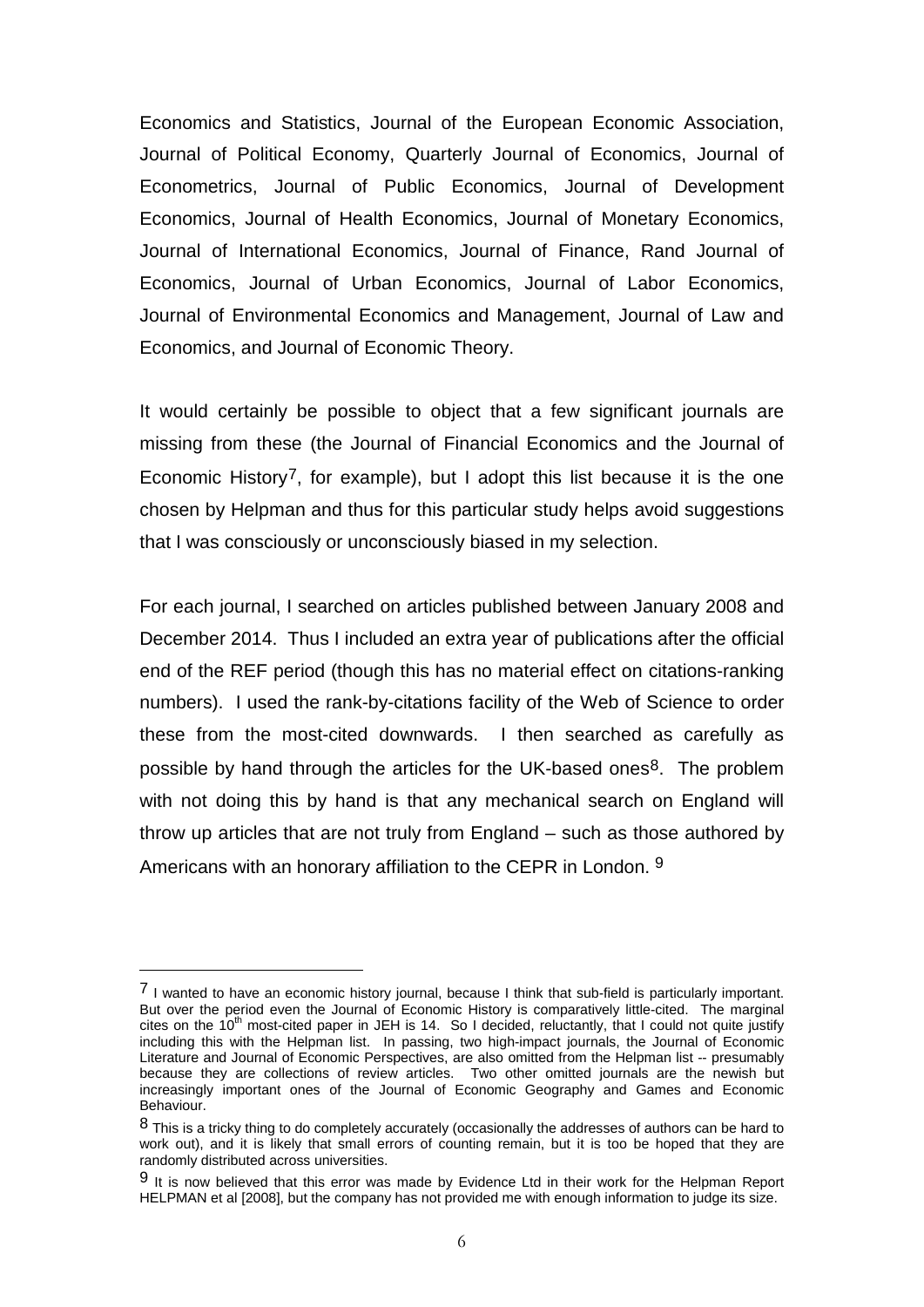Economics and Statistics, Journal of the European Economic Association, Journal of Political Economy, Quarterly Journal of Economics, Journal of Econometrics, Journal of Public Economics, Journal of Development Economics, Journal of Health Economics, Journal of Monetary Economics, Journal of International Economics, Journal of Finance, Rand Journal of Economics, Journal of Urban Economics, Journal of Labor Economics, Journal of Environmental Economics and Management, Journal of Law and Economics, and Journal of Economic Theory.

It would certainly be possible to object that a few significant journals are missing from these (the Journal of Financial Economics and the Journal of Economic History<sup>[7](#page-6-0)</sup>, for example), but I adopt this list because it is the one chosen by Helpman and thus for this particular study helps avoid suggestions that I was consciously or unconsciously biased in my selection.

For each journal, I searched on articles published between January 2008 and December 2014. Thus I included an extra year of publications after the official end of the REF period (though this has no material effect on citations-ranking numbers). I used the rank-by-citations facility of the Web of Science to order these from the most-cited downwards. I then searched as carefully as possible by hand through the articles for the UK-based ones<sup>8</sup>. The problem with not doing this by hand is that any mechanical search on England will throw up articles that are not truly from England – such as those authored by Americans with an honorary affiliation to the CEPR in London. <sup>[9](#page-7-1)</sup>

<sup>7</sup> I wanted to have an economic history journal, because I think that sub-field is particularly important. But over the period even the Journal of Economic History is comparatively little-cited. The marginal cites on the  $10<sup>th</sup>$  most-cited paper in JEH is 14. So I decided, reluctantly, that I could not quite justify including this with the Helpman list. In passing, two high-impact journals, the Journal of Economic Literature and Journal of Economic Perspectives, are also omitted from the Helpman list -- presumably because they are collections of review articles. Two other omitted journals are the newish but increasingly important ones of the Journal of Economic Geography and Games and Economic Behaviour.

<span id="page-7-2"></span><span id="page-7-0"></span><sup>8</sup> This is a tricky thing to do completely accurately (occasionally the addresses of authors can be hard to work out), and it is likely that small errors of counting remain, but it is too be hoped that they are randomly distributed across universities.

<span id="page-7-1"></span> $9$  It is now believed that this error was made by Evidence Ltd in their work for the Helpman Report HELPMAN et al [2008], but the company has not provided me with enough information to judge its size.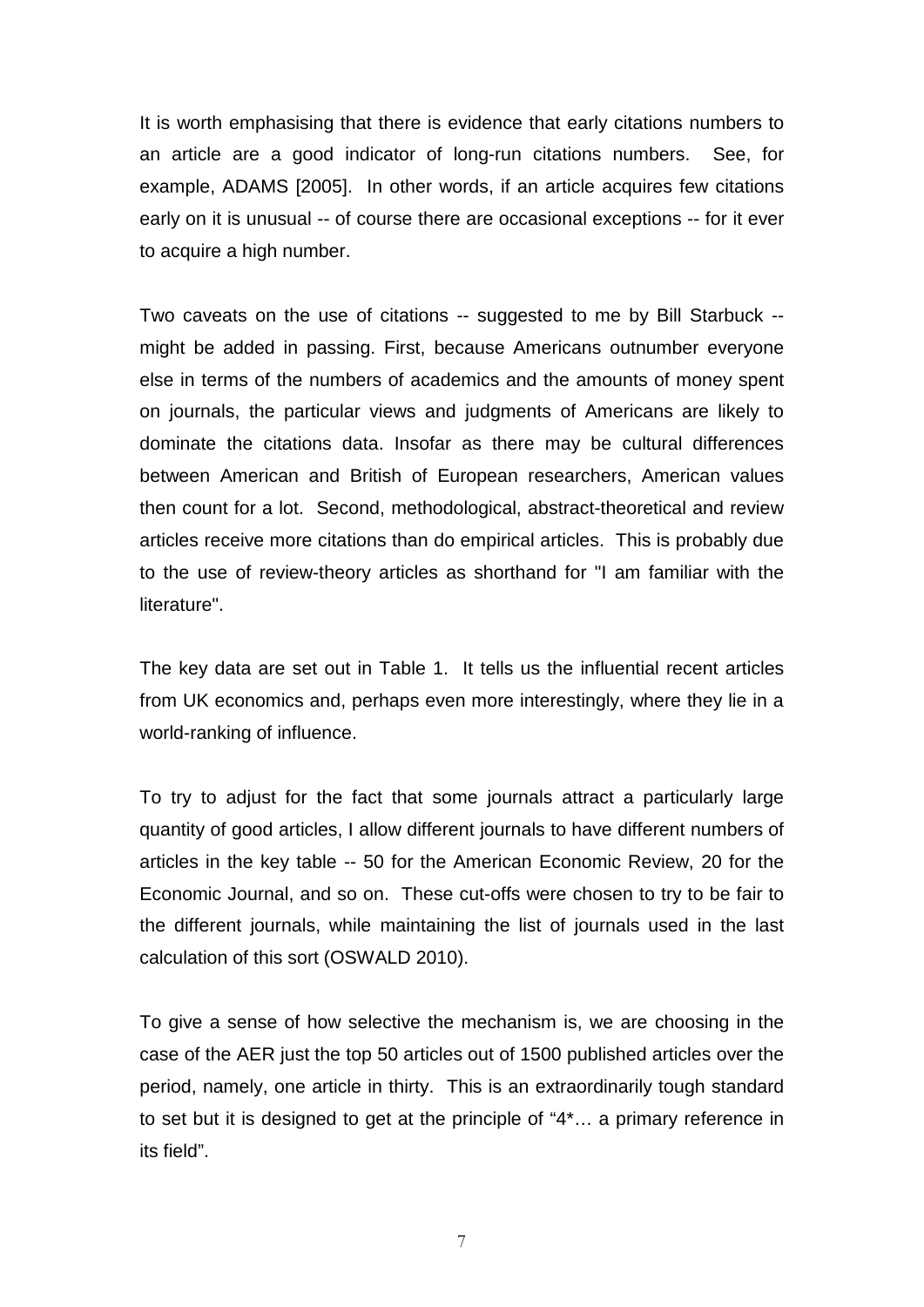It is worth emphasising that there is evidence that early citations numbers to an article are a good indicator of long-run citations numbers. See, for example, ADAMS [2005]. In other words, if an article acquires few citations early on it is unusual -- of course there are occasional exceptions -- for it ever to acquire a high number.

Two caveats on the use of citations -- suggested to me by Bill Starbuck - might be added in passing. First, because Americans outnumber everyone else in terms of the numbers of academics and the amounts of money spent on journals, the particular views and judgments of Americans are likely to dominate the citations data. Insofar as there may be cultural differences between American and British of European researchers, American values then count for a lot. Second, methodological, abstract-theoretical and review articles receive more citations than do empirical articles. This is probably due to the use of review-theory articles as shorthand for "I am familiar with the literature".

The key data are set out in Table 1. It tells us the influential recent articles from UK economics and, perhaps even more interestingly, where they lie in a world-ranking of influence.

To try to adjust for the fact that some journals attract a particularly large quantity of good articles, I allow different journals to have different numbers of articles in the key table -- 50 for the American Economic Review, 20 for the Economic Journal, and so on. These cut-offs were chosen to try to be fair to the different journals, while maintaining the list of journals used in the last calculation of this sort (OSWALD 2010).

To give a sense of how selective the mechanism is, we are choosing in the case of the AER just the top 50 articles out of 1500 published articles over the period, namely, one article in thirty. This is an extraordinarily tough standard to set but it is designed to get at the principle of "4\*… a primary reference in its field".

7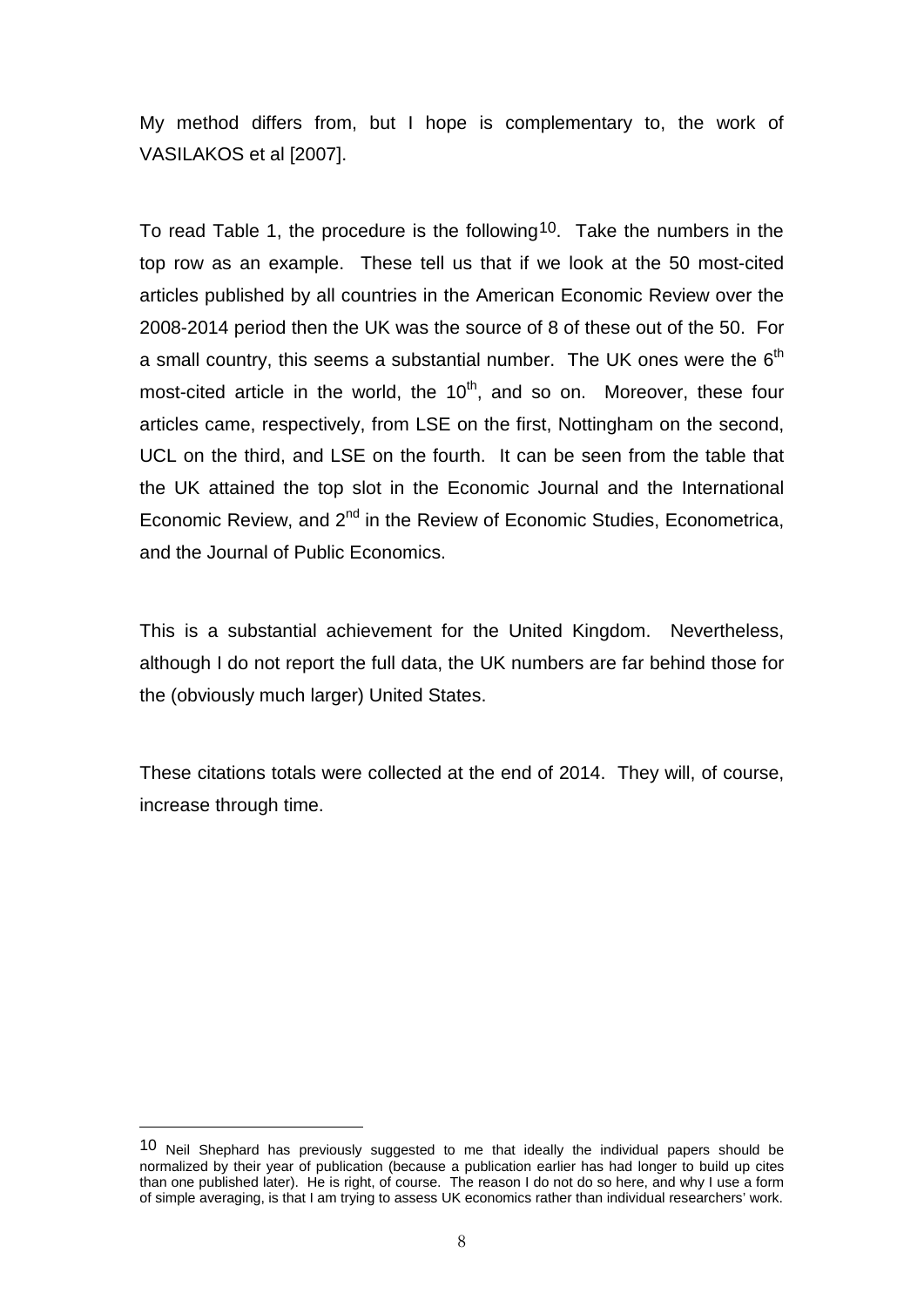My method differs from, but I hope is complementary to, the work of VASILAKOS et al [2007].

To read Table 1, the procedure is the following<sup>10</sup>. Take the numbers in the top row as an example. These tell us that if we look at the 50 most-cited articles published by all countries in the American Economic Review over the 2008-2014 period then the UK was the source of 8 of these out of the 50. For a small country, this seems a substantial number. The UK ones were the  $6<sup>th</sup>$ most-cited article in the world, the  $10<sup>th</sup>$ , and so on. Moreover, these four articles came, respectively, from LSE on the first, Nottingham on the second, UCL on the third, and LSE on the fourth. It can be seen from the table that the UK attained the top slot in the Economic Journal and the International Economic Review, and 2<sup>nd</sup> in the Review of Economic Studies, Econometrica, and the Journal of Public Economics.

This is a substantial achievement for the United Kingdom. Nevertheless, although I do not report the full data, the UK numbers are far behind those for the (obviously much larger) United States.

These citations totals were collected at the end of 2014. They will, of course, increase through time.

<span id="page-9-0"></span><sup>10</sup> Neil Shephard has previously suggested to me that ideally the individual papers should be normalized by their year of publication (because a publication earlier has had longer to build up cites than one published later). He is right, of course. The reason I do not do so here, and why I use a form of simple averaging, is that I am trying to assess UK economics rather than individual researchers' work.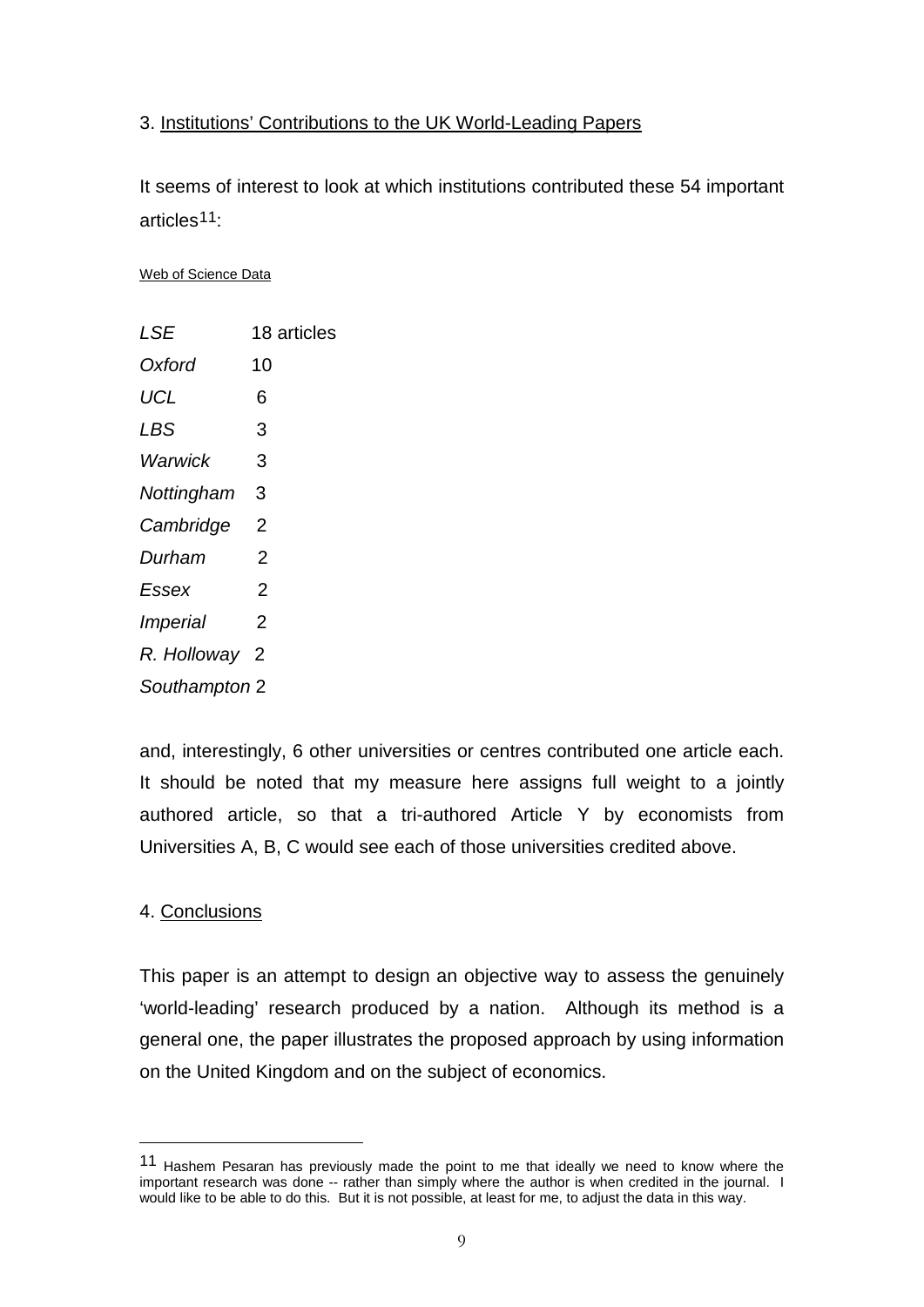## 3. Institutions' Contributions to the UK World-Leading Papers

It seems of interest to look at which institutions contributed these 54 important articles[11:](#page-9-0)

#### Web of Science Data

| LSE                    | 18 articles |  |  |  |
|------------------------|-------------|--|--|--|
| Oxford                 | 10          |  |  |  |
| UCL                    | 6           |  |  |  |
| LBS                    | 3           |  |  |  |
| Warwick                | 3           |  |  |  |
| Nottingham             | 3           |  |  |  |
| Cambridge              | 2           |  |  |  |
| Durham                 | 2           |  |  |  |
| Essex                  | 2           |  |  |  |
| <i><b>Imperial</b></i> | 2           |  |  |  |
| R. Holloway            | - 2         |  |  |  |
| Southampton 2          |             |  |  |  |

and, interestingly, 6 other universities or centres contributed one article each. It should be noted that my measure here assigns full weight to a jointly authored article, so that a tri-authored Article Y by economists from Universities A, B, C would see each of those universities credited above.

### 4. Conclusions

-

<span id="page-10-0"></span>This paper is an attempt to design an objective way to assess the genuinely 'world-leading' research produced by a nation. Although its method is a general one, the paper illustrates the proposed approach by using information on the United Kingdom and on the subject of economics.

<span id="page-10-1"></span><sup>11</sup> Hashem Pesaran has previously made the point to me that ideally we need to know where the important research was done -- rather than simply where the author is when credited in the journal. I would like to be able to do this. But it is not possible, at least for me, to adjust the data in this way.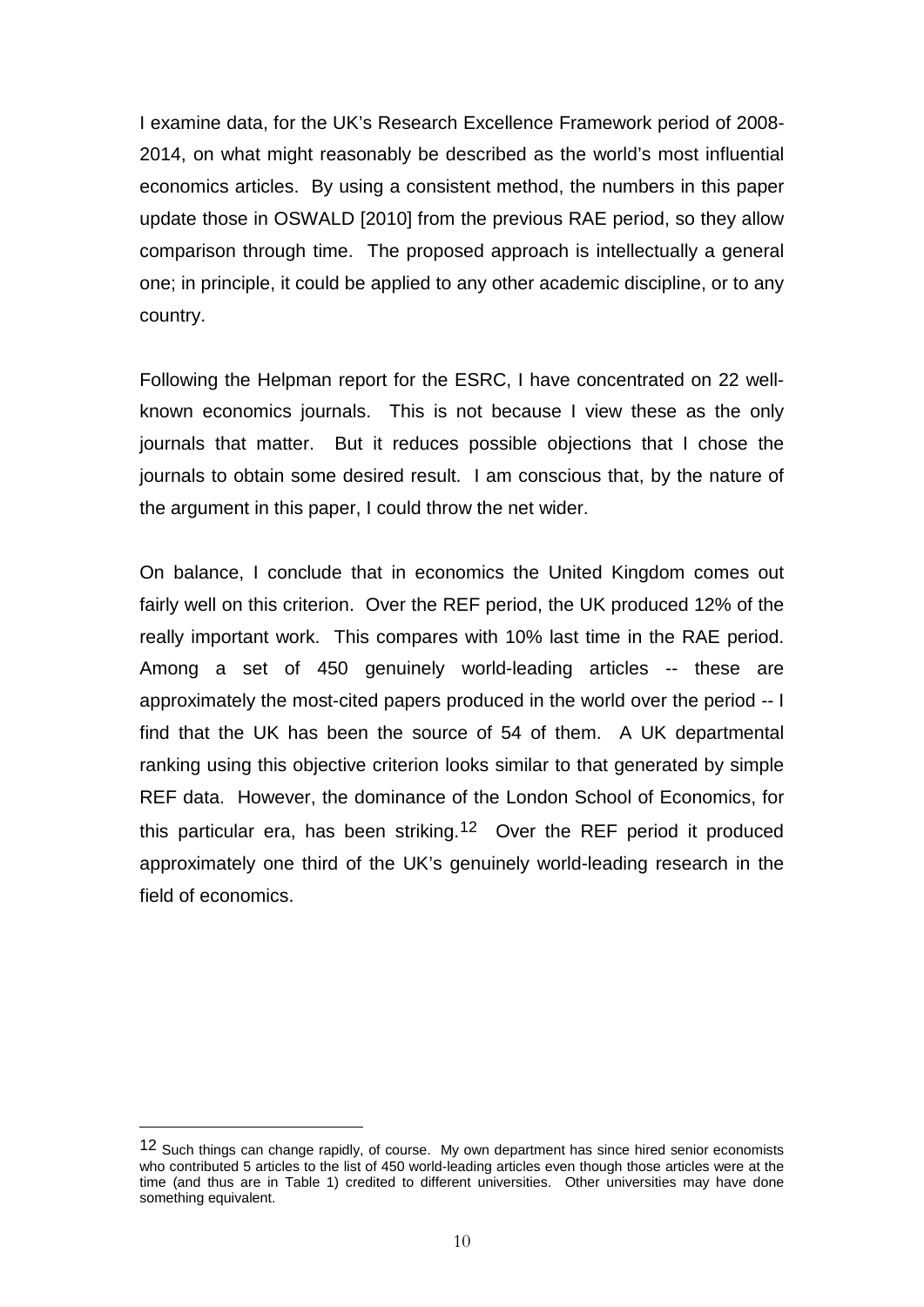I examine data, for the UK's Research Excellence Framework period of 2008- 2014, on what might reasonably be described as the world's most influential economics articles. By using a consistent method, the numbers in this paper update those in OSWALD [2010] from the previous RAE period, so they allow comparison through time. The proposed approach is intellectually a general one; in principle, it could be applied to any other academic discipline, or to any country.

Following the Helpman report for the ESRC, I have concentrated on 22 wellknown economics journals. This is not because I view these as the only journals that matter. But it reduces possible objections that I chose the journals to obtain some desired result. I am conscious that, by the nature of the argument in this paper, I could throw the net wider.

On balance, I conclude that in economics the United Kingdom comes out fairly well on this criterion. Over the REF period, the UK produced 12% of the really important work. This compares with 10% last time in the RAE period. Among a set of 450 genuinely world-leading articles -- these are approximately the most-cited papers produced in the world over the period -- I find that the UK has been the source of 54 of them. A UK departmental ranking using this objective criterion looks similar to that generated by simple REF data. However, the dominance of the London School of Economics, for this particular era, has been striking.[12](#page-10-1) Over the REF period it produced approximately one third of the UK's genuinely world-leading research in the field of economics.

<sup>&</sup>lt;sup>12</sup> Such things can change rapidly, of course. My own department has since hired senior economists who contributed 5 articles to the list of 450 world-leading articles even though those articles were at the time (and thus are in Table 1) credited to different universities. Other universities may have done something equivalent.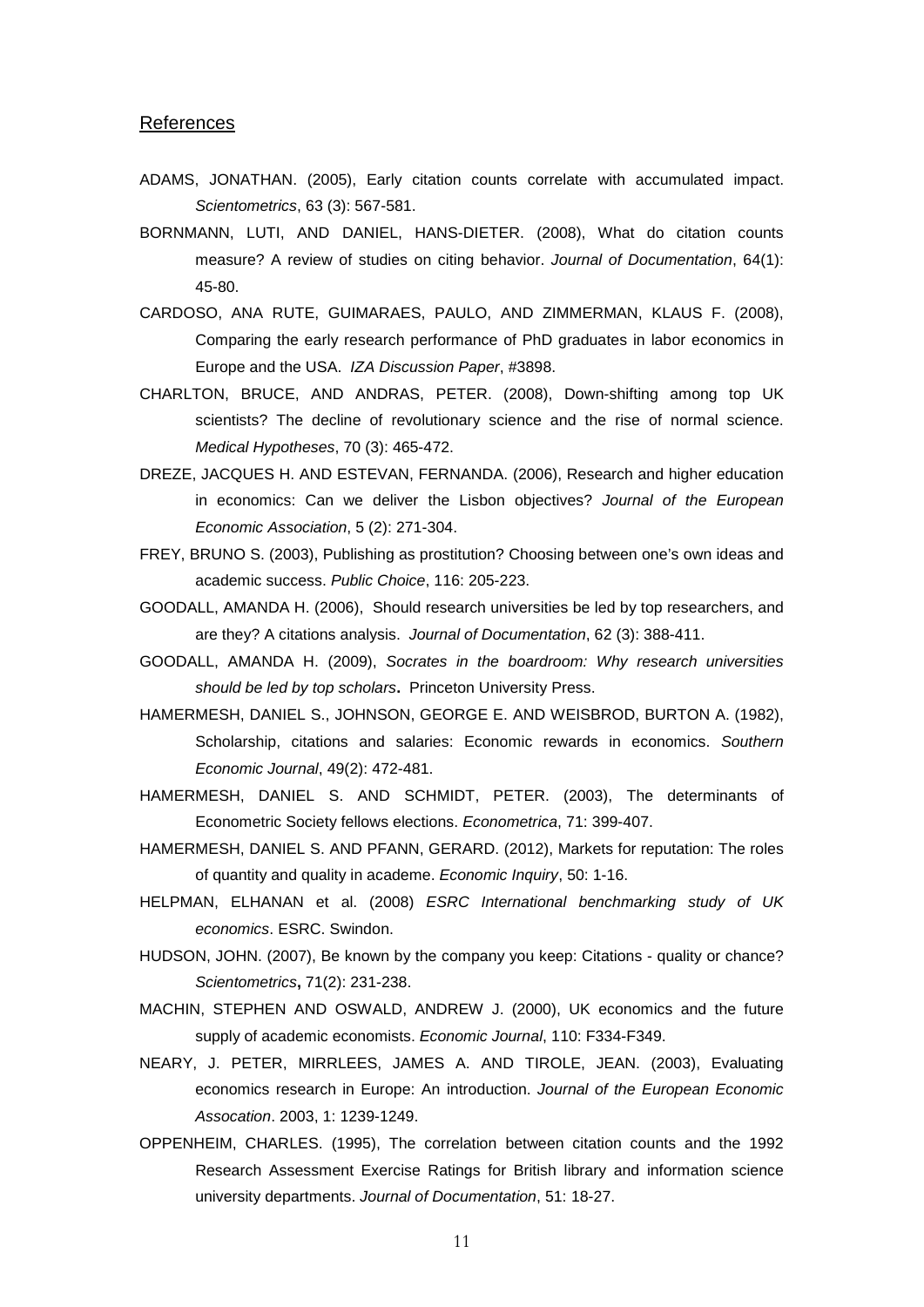#### **References**

- ADAMS, JONATHAN. (2005), Early citation counts correlate with accumulated impact. *Scientometrics*, 63 (3): 567-581.
- BORNMANN, LUTI, AND DANIEL, HANS-DIETER. (2008), What do citation counts measure? A review of studies on citing behavior. *Journal of Documentation*, 64(1): 45-80.
- CARDOSO, ANA RUTE, GUIMARAES, PAULO, AND ZIMMERMAN, KLAUS F. (2008), Comparing the early research performance of PhD graduates in labor economics in Europe and the USA. *IZA Discussion Paper*, #3898.
- CHARLTON, BRUCE, AND ANDRAS, PETER. (2008), Down-shifting among top UK scientists? The decline of revolutionary science and the rise of normal science. *Medical Hypotheses*, 70 (3): 465-472.
- DREZE, JACQUES H. AND ESTEVAN, FERNANDA. (2006), Research and higher education in economics: Can we deliver the Lisbon objectives? *Journal of the European Economic Association*, 5 (2): 271-304.
- FREY, BRUNO S. (2003), Publishing as prostitution? Choosing between one's own ideas and academic success. *Public Choice*, 116: 205-223.
- GOODALL, AMANDA H. (2006), Should research universities be led by top researchers, and are they? A citations analysis. *Journal of Documentation*, 62 (3): 388-411.
- GOODALL, AMANDA H. (2009), *Socrates in the boardroom: Why research universities should be led by top scholars***.** Princeton University Press.
- HAMERMESH, DANIEL S., JOHNSON, GEORGE E. AND WEISBROD, BURTON A. (1982), Scholarship, citations and salaries: Economic rewards in economics. *Southern Economic Journal*, 49(2): 472-481.
- HAMERMESH, DANIEL S. AND SCHMIDT, PETER. (2003), The determinants of Econometric Society fellows elections. *Econometrica*, 71: 399-407.
- HAMERMESH, DANIEL S. AND PFANN, GERARD. (2012), Markets for reputation: The roles of quantity and quality in academe. *Economic Inquiry*, 50: 1-16.
- HELPMAN, ELHANAN et al. (2008) *ESRC International benchmarking study of UK economics*. ESRC. Swindon.
- HUDSON, JOHN. (2007), Be known by the company you keep: Citations quality or chance? *Scientometrics***,** 71(2): 231-238.
- MACHIN, STEPHEN AND OSWALD, ANDREW J. (2000), UK economics and the future supply of academic economists. *Economic Journal*, 110: F334-F349.
- NEARY, J. PETER, MIRRLEES, JAMES A. AND TIROLE, JEAN. (2003), Evaluating economics research in Europe: An introduction. *Journal of the European Economic Assocation*. 2003, 1: 1239-1249.
- OPPENHEIM, CHARLES. (1995), The correlation between citation counts and the 1992 Research Assessment Exercise Ratings for British library and information science university departments. *Journal of Documentation*, 51: 18-27.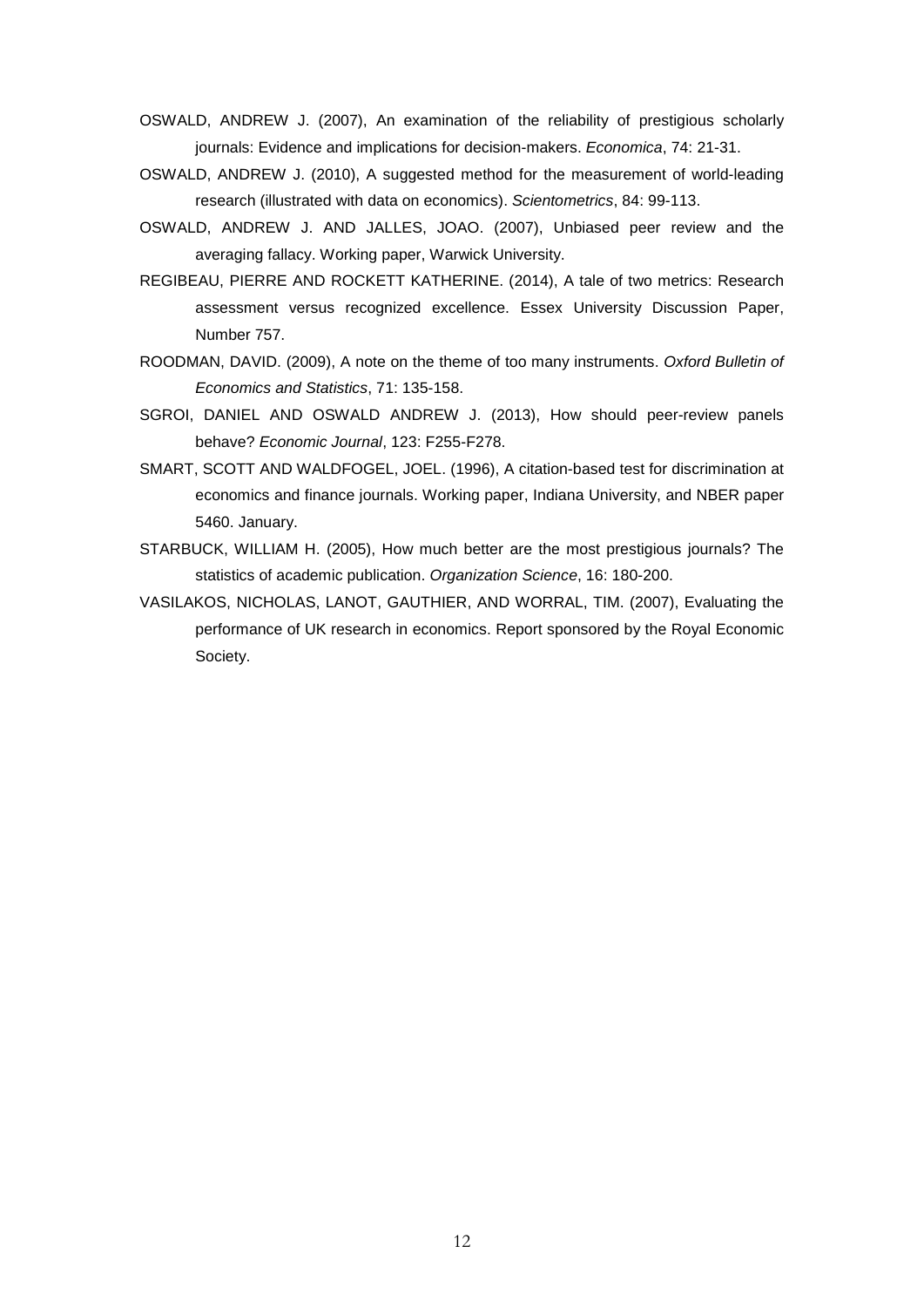- OSWALD, ANDREW J. (2007), An examination of the reliability of prestigious scholarly journals: Evidence and implications for decision-makers. *Economica*, 74: 21-31.
- OSWALD, ANDREW J. (2010), A suggested method for the measurement of world-leading research (illustrated with data on economics). *Scientometrics*, 84: 99-113.
- OSWALD, ANDREW J. AND JALLES, JOAO. (2007), Unbiased peer review and the averaging fallacy. Working paper, Warwick University.
- REGIBEAU, PIERRE AND ROCKETT KATHERINE. (2014), A tale of two metrics: Research assessment versus recognized excellence. Essex University Discussion Paper, Number 757.
- ROODMAN, DAVID. (2009), A note on the theme of too many instruments. *Oxford Bulletin of Economics and Statistics*, 71: 135-158.
- SGROI, DANIEL AND OSWALD ANDREW J. (2013), How should peer-review panels behave? *Economic Journal*, 123: F255-F278.
- SMART, SCOTT AND WALDFOGEL, JOEL. (1996), A citation-based test for discrimination at economics and finance journals. Working paper, Indiana University, and NBER paper 5460. January.
- STARBUCK, WILLIAM H. (2005), How much better are the most prestigious journals? The statistics of academic publication. *Organization Science*, 16: 180-200.
- VASILAKOS, NICHOLAS, LANOT, GAUTHIER, AND WORRAL, TIM. (2007), Evaluating the performance of UK research in economics. Report sponsored by the Royal Economic Society.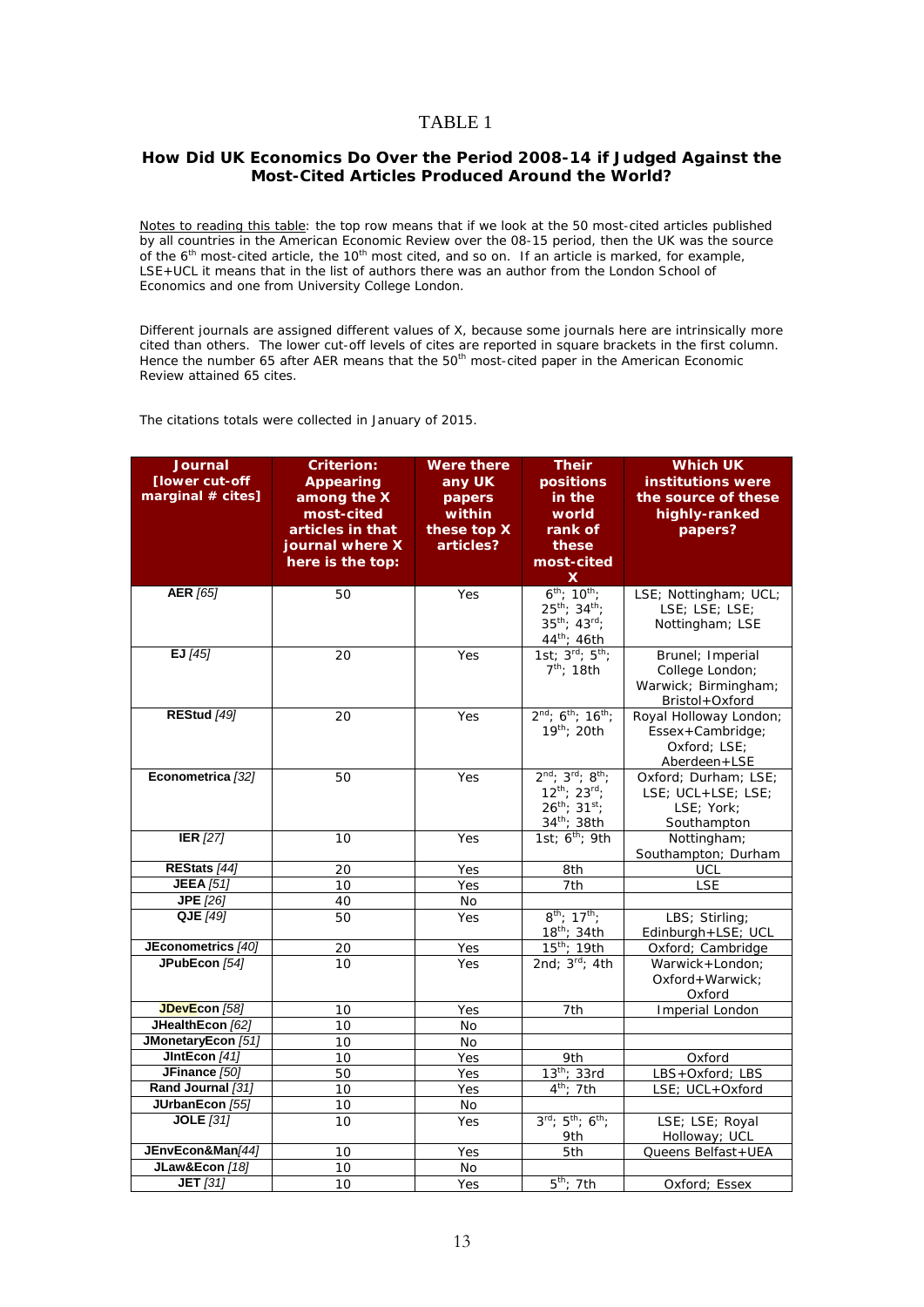#### TABLE 1

#### **How Did UK Economics Do Over the Period 2008-14 if Judged Against the Most-Cited Articles Produced Around the World?**

*Notes to reading this table: the top row means that if we look at the 50 most-cited articles published by all countries in the American Economic Review over the 08-15 period, then the UK was the source of the 6th most-cited article, the 10th most cited, and so on. If an article is marked, for example, LSE+UCL it means that in the list of authors there was an author from the London School of Economics and one from University College London.*

*Different journals are assigned different values of X, because some journals here are intrinsically more cited than others. The lower cut-off levels of cites are reported in square brackets in the first column. Hence the number 65 after AER means that the 50th most-cited paper in the American Economic Review attained 65 cites.* 

*The citations totals were collected in January of 2015.*

| <b>Journal</b>                         | <b>Criterion:</b>               | <b>Were there</b> | <b>Their</b>                                          | <b>Which UK</b>                          |
|----------------------------------------|---------------------------------|-------------------|-------------------------------------------------------|------------------------------------------|
| [lower cut-off<br>marginal # cites]    | <b>Appearing</b><br>among the X | any UK<br>papers  | positions<br>in the                                   | institutions were<br>the source of these |
|                                        | most-cited                      | within            | world                                                 | highly-ranked                            |
|                                        | articles in that                | these top X       | rank of                                               | papers?                                  |
|                                        | journal where X                 | articles?         | these                                                 |                                          |
|                                        | here is the top:                |                   | most-cited                                            |                                          |
|                                        |                                 |                   | $\boldsymbol{\mathsf{X}}$                             |                                          |
| <b>AER</b> [65]                        | 50                              | Yes               | $6^{th}$ ; $10^{th}$ ;<br>$25^{th}$ ; $34^{th}$ ;     | LSE; Nottingham; UCL;<br>LSE; LSE; LSE;  |
|                                        |                                 |                   | $35^{th}$ ; $43^{rd}$ ;                               | Nottingham; LSE                          |
|                                        |                                 |                   | 44th; 46th                                            |                                          |
| EJ $[45]$                              | 20                              | Yes               | 1st; $3^{rd}$ ; $5^{th}$ ;                            | Brunel; Imperial                         |
|                                        |                                 |                   | $7th$ ; 18th                                          | College London;                          |
|                                        |                                 |                   |                                                       | Warwick; Birmingham;                     |
| <b>REStud [49]</b>                     | 20                              | Yes               | $2^{nd}$ ; 6 <sup>th</sup> ; 16 <sup>th</sup> ;       | Bristol+Oxford<br>Royal Holloway London; |
|                                        |                                 |                   | 19th; 20th                                            | Essex+Cambridge;                         |
|                                        |                                 |                   |                                                       | Oxford; LSE;                             |
|                                        |                                 |                   |                                                       | Aberdeen+LSE                             |
| Econometrica [32]                      | 50                              | Yes               | $2^{nd}$ ; $3^{rd}$ ; $8^{th}$ ;                      | Oxford; Durham; LSE;                     |
|                                        |                                 |                   | $12^{th}$ ; $23^{rd}$ ;                               | LSE; UCL+LSE; LSE;                       |
|                                        |                                 |                   | $26^{th}$ ; $31^{st}$ ;                               | LSE; York;                               |
|                                        |                                 |                   | 34th; 38th                                            | Southampton                              |
| IER $[27]$                             | 10                              | Yes               | 1st; 6 <sup>th</sup> ; 9th                            | Nottingham;                              |
| REStats [44]                           | 20                              | Yes               | 8th                                                   | Southampton; Durham<br>UCL               |
| <b>JEEA</b> [51]                       | 10                              | Yes               | 7th                                                   | <b>LSE</b>                               |
| <b>JPE</b> [26]                        | 40                              | <b>No</b>         |                                                       |                                          |
| QJE [49]                               | 50                              | Yes               | $8^{th}$ ; 17 <sup>th</sup> ;                         | LBS; Stirling;                           |
|                                        |                                 |                   | 18 <sup>th</sup> ; 34th                               | Edinburgh+LSE; UCL                       |
| JEconometrics [40]                     | 20                              | Yes               | $15^{th}$ ; 19th                                      | Oxford; Cambridge                        |
| JPubEcon [54]                          | 10                              | Yes               | 2nd; $3^{\text{rd}}$ ; 4th                            | Warwick+London;                          |
|                                        |                                 |                   |                                                       | Oxford+Warwick;                          |
|                                        |                                 |                   |                                                       | Oxford                                   |
| JDevEcon [58]                          | 10                              | Yes               | 7th                                                   | Imperial London                          |
| JHealthEcon [62]<br>JMonetaryEcon [51] | 10                              | No                |                                                       |                                          |
| JIntEcon [41]                          | 10<br>10                        | No<br>Yes         | 9th                                                   | Oxford                                   |
| JFinance [50]                          | 50                              | Yes               | $13th$ ; 33rd                                         | LBS+Oxford; LBS                          |
| Rand Journal [31]                      | 10                              | Yes               | $4th$ ; 7th                                           | LSE; UCL+Oxford                          |
| JUrbanEcon [55]                        | 10                              | No                |                                                       |                                          |
| <b>JOLE</b> [31]                       | 10                              | Yes               | $3^{\text{rd}}$ ; $5^{\text{th}}$ ; $6^{\text{th}}$ ; | LSE; LSE; Royal                          |
|                                        |                                 |                   | 9th                                                   | Holloway; UCL                            |
| JEnvEcon&Man[44]                       | 10                              | Yes               | 5th                                                   | Queens Belfast+UEA                       |
| JLaw&Econ [18]                         | $\overline{10}$                 | No                |                                                       |                                          |
| <b>JET</b> [31]                        | $10$                            | Yes               | $5th$ ; 7th                                           | Oxford; Essex                            |